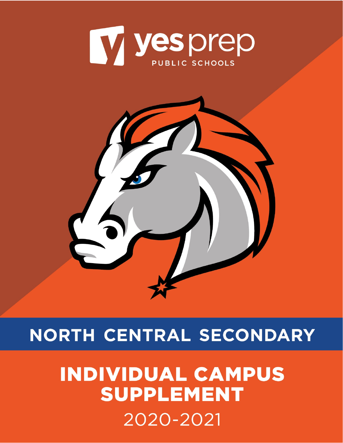<span id="page-0-0"></span>



# NORTH CENTRAL SECONDARY

# **INDIVIDUAL CAMPUS SUPPLEMENT** 2020-2021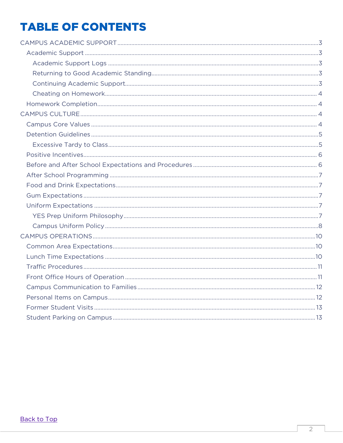## **TABLE OF CONTENTS**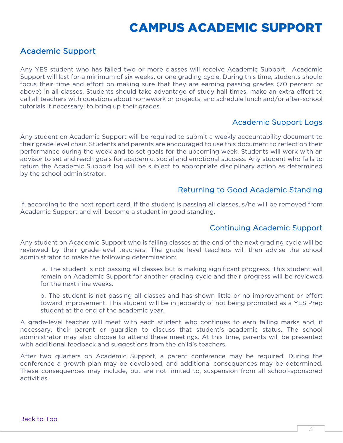## CAMPUS ACADEMIC SUPPORT

## <span id="page-2-1"></span><span id="page-2-0"></span>Academic Support

Any YES student who has failed two or more classes will receive Academic Support. Academic Support will last for a minimum of six weeks, or one grading cycle. During this time, students should focus their time and effort on making sure that they are earning passing grades (70 percent or above) in all classes. Students should take advantage of study hall times, make an extra effort to call all teachers with questions about homework or projects, and schedule lunch and/or after-school tutorials if necessary, to bring up their grades.

### Academic Support Logs

<span id="page-2-2"></span>Any student on Academic Support will be required to submit a weekly accountability document to their grade level chair. Students and parents are encouraged to use this document to reflect on their performance during the week and to set goals for the upcoming week. Students will work with an advisor to set and reach goals for academic, social and emotional success. Any student who fails to return the Academic Support log will be subject to appropriate disciplinary action as determined by the school administrator.

### Returning to Good Academic Standing

<span id="page-2-4"></span><span id="page-2-3"></span>If, according to the next report card, if the student is passing all classes, s/he will be removed from Academic Support and will become a student in good standing.

### Continuing Academic Support

Any student on Academic Support who is failing classes at the end of the next grading cycle will be reviewed by their grade-level teachers. The grade level teachers will then advise the school administrator to make the following determination:

a. The student is not passing all classes but is making significant progress. This student will remain on Academic Support for another grading cycle and their progress will be reviewed for the next nine weeks.

b. The student is not passing all classes and has shown little or no improvement or effort toward improvement. This student will be in jeopardy of not being promoted as a YES Prep student at the end of the academic year.

A grade-level teacher will meet with each student who continues to earn failing marks and, if necessary, their parent or guardian to discuss that student's academic status. The school administrator may also choose to attend these meetings. At this time, parents will be presented with additional feedback and suggestions from the child's teachers.

After two quarters on Academic Support, a parent conference may be required. During the conference a growth plan may be developed, and additional consequences may be determined. These consequences may include, but are not limited to, suspension from all school-sponsored activities.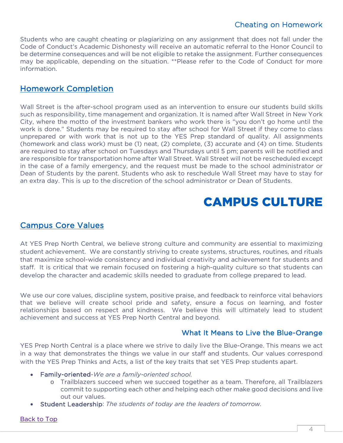## Cheating on Homework

<span id="page-3-0"></span>Students who are caught cheating or plagiarizing on any assignment that does not fall under the Code of Conduct's Academic Dishonesty will receive an automatic referral to the Honor Council to be determine consequences and will be not eligible to retake the assignment. Further consequences may be applicable, depending on the situation. \*\*Please refer to the Code of Conduct for more information.

## <span id="page-3-1"></span>Homework Completion

Wall Street is the after-school program used as an intervention to ensure our students build skills such as responsibility, time management and organization. It is named after Wall Street in New York City, where the motto of the investment bankers who work there is "you don't go home until the work is done." Students may be required to stay after school for Wall Street if they come to class unprepared or with work that is not up to the YES Prep standard of quality. All assignments (homework and class work) must be (1) neat, (2) complete, (3) accurate and (4) on time. Students are required to stay after school on Tuesdays and Thursdays until 5 pm; parents will be notified and are responsible for transportation home after Wall Street. Wall Street will not be rescheduled except in the case of a family emergency, and the request must be made to the school administrator or Dean of Students by the parent. Students who ask to reschedule Wall Street may have to stay for an extra day. This is up to the discretion of the school administrator or Dean of Students.

## CAMPUS CULTURE

## <span id="page-3-3"></span><span id="page-3-2"></span>Campus Core Values

At YES Prep North Central, we believe strong culture and community are essential to maximizing student achievement. We are constantly striving to create systems, structures, routines, and rituals that maximize school-wide consistency and individual creativity and achievement for students and staff. It is critical that we remain focused on fostering a high-quality culture so that students can develop the character and academic skills needed to graduate from college prepared to lead.

We use our core values, discipline system, positive praise, and feedback to reinforce vital behaviors that we believe will create school pride and safety, ensure a focus on learning, and foster relationships based on respect and kindness. We believe this will ultimately lead to student achievement and success at YES Prep North Central and beyond.

### What It Means to Live the Blue-Orange

YES Prep North Central is a place where we strive to daily live the Blue-Orange. This means we act in a way that demonstrates the things we value in our staff and students. Our values correspond with the YES Prep Thinks and Acts, a list of the key traits that set YES Prep students apart.

- Family-oriented-*We are a family-oriented school.*
	- o Trailblazers succeed when we succeed together as a team. Therefore, all Trailblazers commit to supporting each other and helping each other make good decisions and live out our values.
- Student Leadership: *The students of today are the leaders of tomorrow.*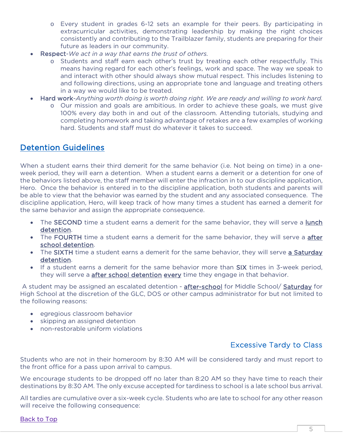- o Every student in grades 6-12 sets an example for their peers. By participating in extracurricular activities, demonstrating leadership by making the right choices consistently and contributing to the Trailblazer family, students are preparing for their future as leaders in our community.
- Respect-*We act in a way that earns the trust of others.*
	- o Students and staff earn each other's trust by treating each other respectfully. This means having regard for each other's feelings, work and space. The way we speak to and interact with other should always show mutual respect. This includes listening to and following directions, using an appropriate tone and language and treating others in a way we would like to be treated.
- Hard work-*Anything worth doing is worth doing right. We are ready and willing to work hard.*
	- o Our mission and goals are ambitious. In order to achieve these goals, we must give 100% every day both in and out of the classroom. Attending tutorials, studying and completing homework and taking advantage of retakes are a few examples of working hard. Students and staff must do whatever it takes to succeed.

## <span id="page-4-0"></span>Detention Guidelines

When a student earns their third demerit for the same behavior (i.e. Not being on time) in a oneweek period, they will earn a detention. When a student earns a demerit or a detention for one of the behaviors listed above, the staff member will enter the infraction in to our discipline application, Hero. Once the behavior is entered in to the discipline application, both students and parents will be able to view that the behavior was earned by the student and any associated consequence. The discipline application, Hero, will keep track of how many times a student has earned a demerit for the same behavior and assign the appropriate consequence.

- The SECOND time a student earns a demerit for the same behavior, they will serve a lunch detention.
- The FOURTH time a student earns a demerit for the same behavior, they will serve a after school detention.
- The SIXTH time a student earns a demerit for the same behavior, they will serve a Saturday detention.
- If a student earns a demerit for the same behavior more than SIX times in 3-week period, they will serve a after school detention every time they engage in that behavior.

A student may be assigned an escalated detention - after-school for Middle School/ Saturday for High School at the discretion of the GLC, DOS or other campus administrator for but not limited to the following reasons:

- egregious classroom behavior
- skipping an assigned detention
- <span id="page-4-1"></span>• non-restorable uniform violations

## Excessive Tardy to Class

Students who are not in their homeroom by 8:30 AM will be considered tardy and must report to the front office for a pass upon arrival to campus.

We encourage students to be dropped off no later than 8:20 AM so they have time to reach their destinations by 8:30 AM. The only excuse accepted for tardiness to school is a late school bus arrival.

All tardies are cumulative over a six-week cycle. Students who are late to school for any other reason will receive the following consequence: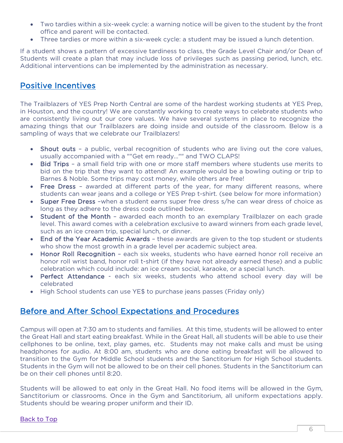- Two tardies within a six-week cycle: a warning notice will be given to the student by the front office and parent will be contacted.
- Three tardies or more within a six-week cycle: a student may be issued a lunch detention.

If a student shows a pattern of excessive tardiness to class, the Grade Level Chair and/or Dean of Students will create a plan that may include loss of privileges such as passing period, lunch, etc. Additional interventions can be implemented by the administration as necessary.

## <span id="page-5-0"></span>Positive Incentives

The Trailblazers of YES Prep North Central are some of the hardest working students at YES Prep, in Houston, and the country! We are constantly working to create ways to celebrate students who are consistently living out our core values. We have several systems in place to recognize the amazing things that our Trailblazers are doing inside and outside of the classroom. Below is a sampling of ways that we celebrate our Trailblazers!

- **Shout outs -** a public, verbal recognition of students who are living out the core values, usually accompanied with a ""Get em ready..."" and TWO CLAPS!
- Bid Trips a small field trip with one or more staff members where students use merits to bid on the trip that they want to attend! An example would be a bowling outing or trip to Barnes & Noble. Some trips may cost money, while others are free!
- Free Dress awarded at different parts of the year, for many different reasons, where students can wear jeans and a college or YES Prep t-shirt. (see below for more information)
- Super Free Dress –when a student earns super free dress s/he can wear dress of choice as long as they adhere to the dress code outlined below.
- Student of the Month awarded each month to an exemplary Trailblazer on each grade level. This award comes with a celebration exclusive to award winners from each grade level, such as an ice cream trip, special lunch, or dinner.
- End of the Year Academic Awards these awards are given to the top student or students who show the most growth in a grade level per academic subject area.
- Honor Roll Recognition each six weeks, students who have earned honor roll receive an honor roll wrist band, honor roll t-shirt (if they have not already earned these) and a public celebration which could include: an ice cream social, karaoke, or a special lunch.
- Perfect Attendance each six weeks, students who attend school every day will be celebrated
- High School students can use YE\$ to purchase jeans passes (Friday only)

## <span id="page-5-1"></span>Before and After School Expectations and Procedures

Campus will open at 7:30 am to students and families. At this time, students will be allowed to enter the Great Hall and start eating breakfast. While in the Great Hall, all students will be able to use their cellphones to be online, text, play games, etc. Students may not make calls and must be using headphones for audio. At 8:00 am, students who are done eating breakfast will be allowed to transition to the Gym for Middle School students and the Sanctitorium for High School students. Students in the Gym will not be allowed to be on their cell phones. Students in the Sanctitorium can be on their cell phones until 8:20.

Students will be allowed to eat only in the Great Hall. No food items will be allowed in the Gym, Sanctitorium or classrooms. Once in the Gym and Sanctitorium, all uniform expectations apply. Students should be wearing proper uniform and their ID.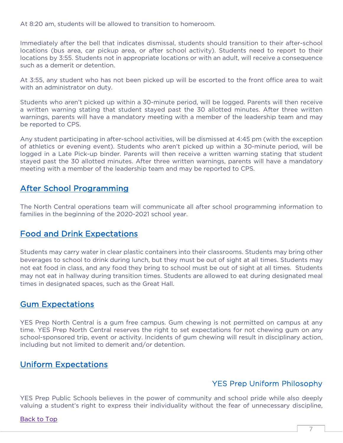At 8:20 am, students will be allowed to transition to homeroom.

Immediately after the bell that indicates dismissal, students should transition to their after-school locations (bus area, car pickup area, or after school activity). Students need to report to their locations by 3:55. Students not in appropriate locations or with an adult, will receive a consequence such as a demerit or detention.

At 3:55, any student who has not been picked up will be escorted to the front office area to wait with an administrator on duty.

Students who aren't picked up within a 30-minute period, will be logged. Parents will then receive a written warning stating that student stayed past the 30 allotted minutes. After three written warnings, parents will have a mandatory meeting with a member of the leadership team and may be reported to CPS.

Any student participating in after-school activities, will be dismissed at 4:45 pm (with the exception of athletics or evening event). Students who aren't picked up within a 30-minute period, will be logged in a Late Pick-up binder. Parents will then receive a written warning stating that student stayed past the 30 allotted minutes. After three written warnings, parents will have a mandatory meeting with a member of the leadership team and may be reported to CPS.

## <span id="page-6-0"></span>After School Programming

The North Central operations team will communicate all after school programming information to families in the beginning of the 2020-2021 school year.

## <span id="page-6-1"></span>Food and Drink Expectations

Students may carry water in clear plastic containers into their classrooms. Students may bring other beverages to school to drink during lunch, but they must be out of sight at all times. Students may not eat food in class, and any food they bring to school must be out of sight at all times. Students may not eat in hallway during transition times. Students are allowed to eat during designated meal times in designated spaces, such as the Great Hall.

## <span id="page-6-2"></span>Gum Expectations

YES Prep North Central is a gum free campus. Gum chewing is not permitted on campus at any time. YES Prep North Central reserves the right to set expectations for not chewing gum on any school-sponsored trip, event or activity. Incidents of gum chewing will result in disciplinary action, including but not limited to demerit and/or detention.

## <span id="page-6-3"></span>Uniform Expectations

## YES Prep Uniform Philosophy

<span id="page-6-4"></span>YES Prep Public Schools believes in the power of community and school pride while also deeply valuing a student's right to express their individuality without the fear of unnecessary discipline,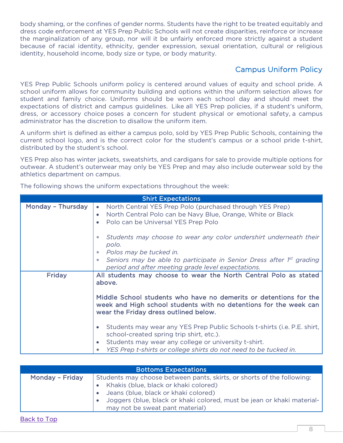body shaming, or the confines of gender norms. Students have the right to be treated equitably and dress code enforcement at YES Prep Public Schools will not create disparities, reinforce or increase the marginalization of any group, nor will it be unfairly enforced more strictly against a student because of racial identity, ethnicity, gender expression, sexual orientation, cultural or religious identity, household income, body size or type, or body maturity.

## Campus Uniform Policy

<span id="page-7-0"></span>YES Prep Public Schools uniform policy is centered around values of equity and school pride. A school uniform allows for community building and options within the uniform selection allows for student and family choice. Uniforms should be worn each school day and should meet the expectations of district and campus guidelines. Like all YES Prep policies, if a student's uniform, dress, or accessory choice poses a concern for student physical or emotional safety, a campus administrator has the discretion to disallow the uniform item.

A uniform shirt is defined as either a campus polo, sold by YES Prep Public Schools, containing the current school logo, and is the correct color for the student's campus or a school pride t-shirt, distributed by the student's school.

YES Prep also has winter jackets, sweatshirts, and cardigans for sale to provide multiple options for outwear. A student's outerwear may only be YES Prep and may also include outerwear sold by the athletics department on campus.

The following shows the uniform expectations throughout the week:

|                   | <b>Shirt Expectations</b>                                                                                                                                                       |  |
|-------------------|---------------------------------------------------------------------------------------------------------------------------------------------------------------------------------|--|
| Monday - Thursday | • North Central YES Prep Polo (purchased through YES Prep)<br>North Central Polo can be Navy Blue, Orange, White or Black<br>Polo can be Universal YES Prep Polo                |  |
|                   | Students may choose to wear any color undershirt underneath their<br>polo.<br>Polos may be tucked in.                                                                           |  |
|                   | Seniors may be able to participate in Senior Dress after 1 <sup>st</sup> grading<br>$*$<br>period and after meeting grade level expectations.                                   |  |
| Friday            | All students may choose to wear the North Central Polo as stated<br>above.                                                                                                      |  |
|                   | Middle School students who have no demerits or detentions for the<br>week and High school students with no detentions for the week can<br>wear the Friday dress outlined below. |  |
|                   | Students may wear any YES Prep Public Schools t-shirts (i.e. P.E. shirt,<br>school-created spring trip shirt, etc.).                                                            |  |
|                   | Students may wear any college or university t-shirt.<br>$\bullet$<br>YES Prep t-shirts or college shirts do not need to be tucked in.<br>$\ast$                                 |  |

| Monday - Friday<br>Students may choose between pants, skirts, or shorts of the following: | <b>Bottoms Expectations</b> |                                                                                                                 |
|-------------------------------------------------------------------------------------------|-----------------------------|-----------------------------------------------------------------------------------------------------------------|
| Jeans (blue, black or khaki colored)<br>may not be sweat pant material)                   |                             | Khakis (blue, black or khaki colored)<br>Joggers (blue, black or khaki colored, must be jean or khaki material- |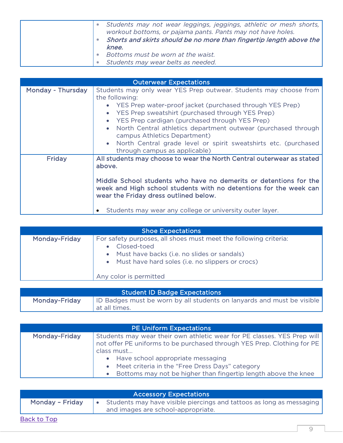| $*$    | Students may not wear leggings, jeggings, athletic or mesh shorts,<br>workout bottoms, or pajama pants. Pants may not have holes.<br>Shorts and skirts should be no more than fingertip length above the<br>knee. |
|--------|-------------------------------------------------------------------------------------------------------------------------------------------------------------------------------------------------------------------|
| $\ast$ | Bottoms must be worn at the waist.                                                                                                                                                                                |
| $*$    | Students may wear belts as needed.                                                                                                                                                                                |

| <b>Outerwear Expectations</b> |                                                                                                                                                                                                                                                                                                                                                                                                                                                                                                                |
|-------------------------------|----------------------------------------------------------------------------------------------------------------------------------------------------------------------------------------------------------------------------------------------------------------------------------------------------------------------------------------------------------------------------------------------------------------------------------------------------------------------------------------------------------------|
| Monday - Thursday             | Students may only wear YES Prep outwear. Students may choose from<br>the following:<br>YES Prep water-proof jacket (purchased through YES Prep)<br>YES Prep sweatshirt (purchased through YES Prep)<br>$\bullet$<br>YES Prep cardigan (purchased through YES Prep)<br>$\bullet$<br>North Central athletics department outwear (purchased through<br>$\bullet$<br>campus Athletics Department)<br>North Central grade level or spirit sweatshirts etc. (purchased<br>$\bullet$<br>through campus as applicable) |
| <b>Friday</b>                 | All students may choose to wear the North Central outerwear as stated<br>above.<br>Middle School students who have no demerits or detentions for the<br>week and High school students with no detentions for the week can<br>wear the Friday dress outlined below.<br>Students may wear any college or university outer layer.                                                                                                                                                                                 |

| <b>Shoe Expectations</b> |                                                                                                                                                                                                                               |  |
|--------------------------|-------------------------------------------------------------------------------------------------------------------------------------------------------------------------------------------------------------------------------|--|
| Monday-Friday            | For safety purposes, all shoes must meet the following criteria:<br>Closed-toed<br>$\bullet$<br>• Must have backs (i.e. no slides or sandals)<br>• Must have hard soles (i.e. no slippers or crocs)<br>Any color is permitted |  |

| <b>Student ID Badge Expectations</b> |                                                                        |  |  |
|--------------------------------------|------------------------------------------------------------------------|--|--|
| Monday-Friday                        | ID Badges must be worn by all students on lanyards and must be visible |  |  |
|                                      | at all times.                                                          |  |  |

| <b>PE Uniform Expectations</b> |                                                                         |  |
|--------------------------------|-------------------------------------------------------------------------|--|
| Monday-Friday                  | Students may wear their own athletic wear for PE classes. YES Prep will |  |
|                                | not offer PE uniforms to be purchased through YES Prep. Clothing for PE |  |
|                                | class must                                                              |  |
|                                | • Have school appropriate messaging                                     |  |
|                                | • Meet criteria in the "Free Dress Days" category                       |  |
|                                | Bottoms may not be higher than fingertip length above the knee          |  |

| <b>Accessory Expectations</b> |  |                                                                                                            |
|-------------------------------|--|------------------------------------------------------------------------------------------------------------|
| Monday - Friday               |  | Students may have visible piercings and tattoos as long as messaging<br>and images are school-appropriate. |
| Back to Top                   |  |                                                                                                            |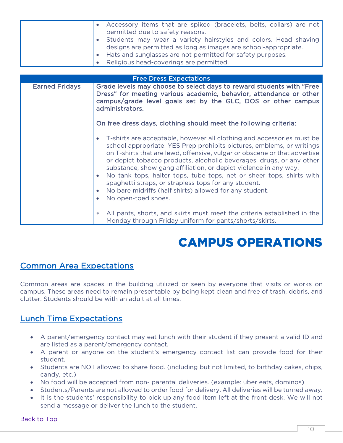|                       | Accessory items that are spiked (bracelets, belts, collars) are not<br>permitted due to safety reasons.<br>Students may wear a variety hairstyles and colors. Head shaving<br>designs are permitted as long as images are school-appropriate.<br>Hats and sunglasses are not permitted for safety purposes.<br>Religious head-coverings are permitted.                                                                                                                                                                                                                                    |
|-----------------------|-------------------------------------------------------------------------------------------------------------------------------------------------------------------------------------------------------------------------------------------------------------------------------------------------------------------------------------------------------------------------------------------------------------------------------------------------------------------------------------------------------------------------------------------------------------------------------------------|
|                       | <b>Free Dress Expectations</b>                                                                                                                                                                                                                                                                                                                                                                                                                                                                                                                                                            |
| <b>Earned Fridays</b> | Grade levels may choose to select days to reward students with "Free<br>Dress" for meeting various academic, behavior, attendance or other<br>campus/grade level goals set by the GLC, DOS or other campus<br>administrators.                                                                                                                                                                                                                                                                                                                                                             |
|                       | On free dress days, clothing should meet the following criteria:                                                                                                                                                                                                                                                                                                                                                                                                                                                                                                                          |
|                       | T-shirts are acceptable, however all clothing and accessories must be<br>school appropriate: YES Prep prohibits pictures, emblems, or writings<br>on T-shirts that are lewd, offensive, vulgar or obscene or that advertise<br>or depict tobacco products, alcoholic beverages, drugs, or any other<br>substance, show gang affiliation, or depict violence in any way.<br>No tank tops, halter tops, tube tops, net or sheer tops, shirts with<br>spaghetti straps, or strapless tops for any student.<br>No bare midriffs (half shirts) allowed for any student.<br>No open-toed shoes. |
|                       | All pants, shorts, and skirts must meet the criteria established in the<br>∗<br>Monday through Friday uniform for pants/shorts/skirts.                                                                                                                                                                                                                                                                                                                                                                                                                                                    |

## CAMPUS OPERATIONS

## <span id="page-9-1"></span><span id="page-9-0"></span>Common Area Expectations

Common areas are spaces in the building utilized or seen by everyone that visits or works on campus. These areas need to remain presentable by being kept clean and free of trash, debris, and clutter. Students should be with an adult at all times.

## <span id="page-9-2"></span>Lunch Time Expectations

- A parent/emergency contact may eat lunch with their student if they present a valid ID and are listed as a parent/emergency contact.
- A parent or anyone on the student's emergency contact list can provide food for their student.
- Students are NOT allowed to share food. (including but not limited, to birthday cakes, chips, candy, etc.)
- No food will be accepted from non- parental deliveries. (example: uber eats, dominos)
- Students/Parents are not allowed to order food for delivery. All deliveries will be turned away.
- It is the students' responsibility to pick up any food item left at the front desk. We will not send a message or deliver the lunch to the student.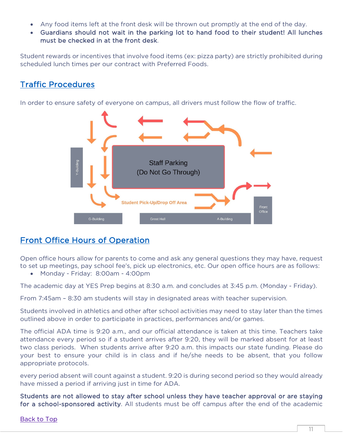- Any food items left at the front desk will be thrown out promptly at the end of the day.
- Guardians should not wait in the parking lot to hand food to their student! All lunches must be checked in at the front desk.

Student rewards or incentives that involve food items (ex: pizza party) are strictly prohibited during scheduled lunch times per our contract with Preferred Foods.

## <span id="page-10-0"></span>Traffic Procedures

In order to ensure safety of everyone on campus, all drivers must follow the flow of traffic.



## <span id="page-10-1"></span>Front Office Hours of Operation

Open office hours allow for parents to come and ask any general questions they may have, request to set up meetings, pay school fee's, pick up electronics, etc. Our open office hours are as follows:

• Monday - Friday: 8:00am - 4:00pm

The academic day at YES Prep begins at 8:30 a.m. and concludes at 3:45 p.m. (Monday - Friday).

From 7:45am – 8:30 am students will stay in designated areas with teacher supervision.

Students involved in athletics and other after school activities may need to stay later than the times outlined above in order to participate in practices, performances and/or games.

The official ADA time is 9:20 a.m., and our official attendance is taken at this time. Teachers take attendance every period so if a student arrives after 9:20, they will be marked absent for at least two class periods. When students arrive after 9:20 a.m. this impacts our state funding. Please do your best to ensure your child is in class and if he/she needs to be absent, that you follow appropriate protocols.

every period absent will count against a student. 9:20 is during second period so they would already have missed a period if arriving just in time for ADA.

Students are not allowed to stay after school unless they have teacher approval or are staying for a school-sponsored activity. All students must be off campus after the end of the academic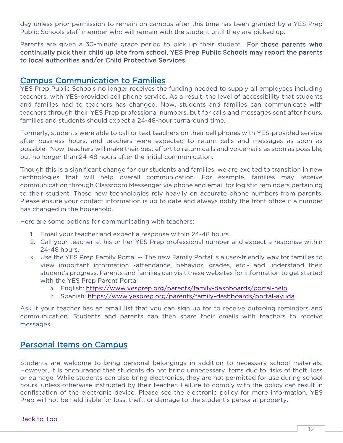day unless prior permission to remain on campus after this time has been granted by a YES Prep Public Schools staff member who will remain with the student until they are picked up.

Parents are given a 30-minute grace period to pick up their student. For those parents who continually pick their child up late from school, YES Prep Public Schools may report the parents to local authorities and/or Child Protective Services.

<span id="page-11-0"></span>Campus Communication to Families of Eurolang peeded to supply all employees including YES Prep Public Schools no longer receives the funding needed to supply all employees including teachers, with YES-provided cell phone service. As a result, the level of accessibility that students and families had to teachers has changed. Now, students and families can communicate with teachers through their YES Prep professional numbers, but for calls and messages sent after hours, families and students should expect a 24-48-hour turnaround time.

Formerly, students were able to call or text teachers on their cell phones with YES-provided service after business hours, and teachers were expected to return calls and messages as soon as possible. Now, teachers will make their best effort to return calls and voicemails as soon as possible, but no longer than 24-48 hours after the initial communication.

Though this is a significant change for our students and families, we are excited to transition in new technologies that will help overall communication. For example, families may receive communication through Classroom Messenger via phone and email for logistic reminders pertaining to their student. These new technologies rely heavily on accurate phone numbers from parents. Please ensure your contact information is up to date and always notify the front office if a number has changed in the household.

Here are some options for communicating with teachers:

- 1. Email your teacher and expect a response within 24-48 hours.
- 2. Call your teacher at his or her YES Prep professional number and expect a response within 24-48 hours.
- 3. Use the YES Prep Family Portal -- The new Family Portal is a user-friendly way for families to view important information -attendance, behavior, grades, etc.- and understand their student's progress. Parents and families can visit these websites for information to get started with the YES Prep Parent Portal
	- a. English:<https://www.yesprep.org/parents/family-dashboards/portal-help>
	- b. Spanish:<https://www.yesprep.org/parents/family-dashboards/portal-ayuda>

Ask if your teacher has an email list that you can sign up for to receive outgoing reminders and communication. Students and parents can then share their emails with teachers to receive messages.

## <span id="page-11-1"></span>Personal Items on Campus

Students are welcome to bring personal belongings in addition to necessary school materials. However, it is encouraged that students do not bring unnecessary items due to risks of theft, loss or damage. While students can also bring electronics, they are not permitted for use during school hours, unless otherwise instructed by their teacher. Failure to comply with the policy can result in confiscation of the electronic device. Please see the electronic policy for more information. YES Prep will not be held liable for loss, theft, or damage to the student's personal property.